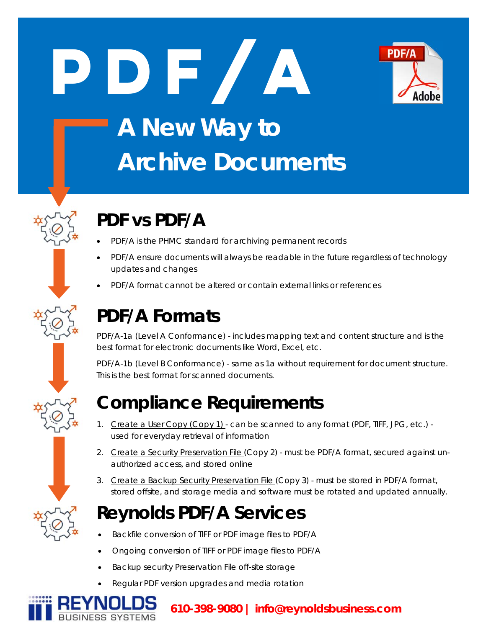



# **A New Way to Archive Documents**

## **PDF vs PDF/A**

- PDF/A is the PHMC standard for archiving permanent records
- PDF/A ensure documents will always be readable in the future regardless of technology updates and changes
- PDF/A format cannot be altered or contain external links or references

## **PDF/A Formats**

PDF/A-1a (Level A Conformance) - includes mapping text and content structure and is the best format for electronic documents like Word, Excel, etc.

PDF/A-1b (Level B Conformance) - same as 1a without requirement for document structure. This is the best format for scanned documents.

#### **Compliance Requirements**

- 1. Create a User Copy (Copy 1) can be scanned to any format (PDF, TIFF, JPG, etc.) used for everyday retrieval of information
- 2. Create a Security Preservation File (Copy 2) must be PDF/A format, secured against unauthorized access, and stored online
- 3. Create a Backup Security Preservation File (Copy 3) must be stored in PDF/A format, stored offsite, and storage media and software must be rotated and updated annually.

### **Reynolds PDF/A Services**

- Backfile conversion of TIFF or PDF image files to PDF/A
- Ongoing conversion of TIFF or PDF image files to PDF/A
- Backup security Preservation File off-site storage
- Regular PDF version upgrades and media rotation